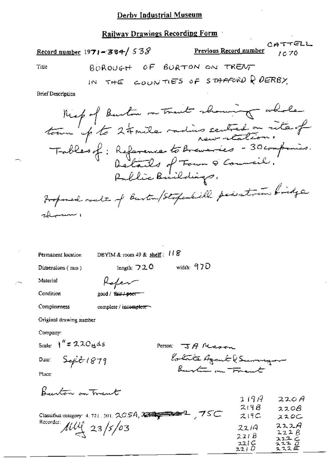## Railway Drawings Recording Form

|                          | $\frac{\text{Record number}}{1971 - 384}$ 538                                                                                                                         | Previous Record number 1070 | CATTELL |
|--------------------------|-----------------------------------------------------------------------------------------------------------------------------------------------------------------------|-----------------------------|---------|
| Title                    | BOROUGH OF BURTON ON TRENT                                                                                                                                            |                             |         |
|                          | IN THE COUNTIES OF STAFFORD Q DERBY                                                                                                                                   |                             |         |
| <b>Brief Description</b> |                                                                                                                                                                       |                             |         |
|                          | Might Burton on Trust showing whole<br>tour up to 24 mile redins centred on rite of<br>Tables of: Reference to Breweries - 30 companis.<br>Details of Town & Council. |                             |         |

Rablic Buildings. Froponed roate of Burton/Stopalill pointmen bridge rhum 1

Permanent location

DBYIM & room 49 &  $\frac{\text{shell}}{3}$ : 118

length:  $720$ 

Dimensions (mm)

width:  $970$ 

Material

Refer good / fair / poor

Condition Completeness

complete / incomplete

Original drawing number

Company:

Scale:  $1'' = 220$  gds

Date:

Person:  $\exists A$  Alcoren lotate Azant l'Europa

Place:

Beenton on Trent

 $Seft1879$ 

|                                                                | 1197         | 220A          |
|----------------------------------------------------------------|--------------|---------------|
|                                                                | 219B         | 220B          |
| Classified category: 4, 721, 301, $2054$ , $322222222$ , $75C$ | 219C         | ススロー          |
| Recorder: $\mu\mu$ 23/5/03                                     | 2219         | 222A          |
|                                                                | 221 B        | 222B<br>222C  |
|                                                                | 221C<br>2210 | ススユ ロ<br>スススピ |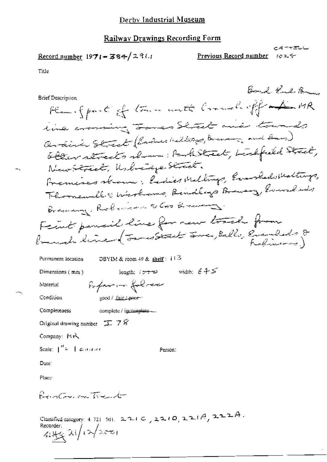## Railway Drawings Recording Form

$$
\underline{\text{Record number}} 1971 = 384 / 2311
$$

Title

٦.

| Bond Kud Brau                                                          |
|------------------------------------------------------------------------|
| Brief Description                                                      |
| Plane for the following the Commelial off the MA                       |
| time comming James Shout and towneds                                   |
| Ordina Street (Ender Walkung, Brunn, and Bar,)                         |
| abler streets shown fash street, bishfield Street,                     |
| NewStreet, Unbreidge Street.                                           |
| Fremises strown; Endies Meltings, Evanhals Maltings,                   |
| Thomandle Winshams, Renders Browing, Everal and                        |
| Bremmy, Robinson a Cookments                                           |
| Fecut pensil line for new track from                                   |
| (much line (James Start June, Belle, Evenheds 8                        |
| DBYIM & room $49$ & shelf: $113$<br>Permanent location                 |
| width: $645$<br>Dimensions (mm)<br>length: $i \rightarrow \rightarrow$ |
| Poper in follow<br>Material                                            |
| good / fair / poor-"<br>Condition                                      |
| complete / incomplete --<br>Completeness                               |
| Original drawing number $\mathbb{T}$ 7 $\hat{S}$                       |
| Company: MR                                                            |
| Scale: $\int_{0}^{H}=-\int$ controls<br>Person:                        |
| Date:                                                                  |
| Place:                                                                 |
| Printer on Travit                                                      |
|                                                                        |

Classified category: 4.721 301. 221C, 221O, 221A, 222A.<br>Recorder:<br>Listing 2(1/12/2001)